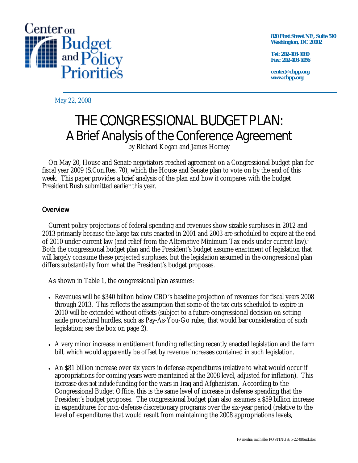

**820 First Street NE, Suite 510 Washington, DC 20002** 

**Tel: 202-408-1080 Fax: 202-408-1056** 

**center@cbpp.org www.cbpp.org** 

May 22, 2008

# THE CONGRESSIONAL BUDGET PLAN: A Brief Analysis of the Conference Agreement

by Richard Kogan and James Horney

 On May 20, House and Senate negotiators reached agreement on a Congressional budget plan for fiscal year 2009 (S.Con.Res. 70), which the House and Senate plan to vote on by the end of this week. This paper provides a brief analysis of the plan and how it compares with the budget President Bush submitted earlier this year.

## **Overview**

 Current policy projections of federal spending and revenues show sizable surpluses in 2012 and 2013 primarily because the large tax cuts enacted in 2001 and 2003 are scheduled to expire at the end of 2010 under current law (and relief from the Alternative Minimum Tax ends under current law).<sup>i</sup> Both the congressional budget plan and the President's budget assume enactment of legislation that will largely consume these projected surpluses, but the legislation assumed in the congressional plan differs substantially from what the President's budget proposes.

As shown in Table 1, the congressional plan assumes:

- Revenues will be \$340 billion below CBO's baseline projection of revenues for fiscal years 2008 through 2013. This reflects the assumption that some of the tax cuts scheduled to expire in 2010 will be extended without offsets (subject to a future congressional decision on setting aside procedural hurdles, such as Pay-As-You-Go rules, that would bar consideration of such legislation; see the box on page 2).
- A very minor increase in entitlement funding reflecting recently enacted legislation and the farm bill, which would apparently be offset by revenue increases contained in such legislation.
- An \$81 billion increase over six years in defense expenditures (relative to what would occur if appropriations for coming years were maintained at the 2008 level, adjusted for inflation). This increase *does not include* funding for the wars in Iraq and Afghanistan. According to the Congressional Budget Office, this is the same level of increase in defense spending that the President's budget proposes. The congressional budget plan also assumes a \$59 billion increase in expenditures for non-defense discretionary programs over the six-year period (relative to the level of expenditures that would result from maintaining the 2008 appropriations levels,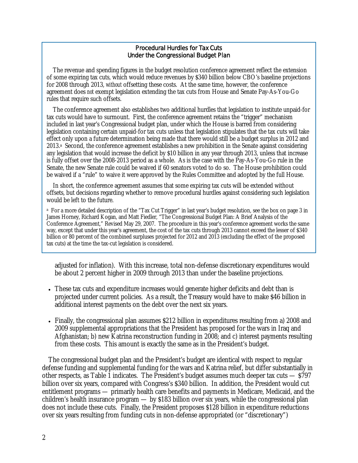#### Procedural Hurdles for Tax Cuts Under the Congressional Budget Plan

The revenue and spending figures in the budget resolution conference agreement reflect the extension of some expiring tax cuts, which would reduce revenues by \$340 billion below CBO's baseline projections for 2008 through 2013, *without* offsetting these costs. At the same time, however, the conference agreement does *not* exempt legislation extending the tax cuts from House and Senate Pay-As-You-Go rules that require such offsets.

The conference agreement also establishes two additional hurdles that legislation to institute unpaid-for tax cuts would have to surmount. First, the conference agreement retains the "trigger" mechanism included in last year's Congressional budget plan, under which the House is barred from considering legislation containing certain unpaid-for tax cuts unless that legislation stipulates that the tax cuts will take effect only upon a future determination being made that there would still be a budget surplus in 2012 and 2013.a Second, the conference agreement establishes a new prohibition in the Senate against considering any legislation that would increase the deficit by \$10 billion in any year through 2013, unless that increase is fully offset over the 2008-2013 period as a whole. As is the case with the Pay-As-You-Go rule in the Senate, the new Senate rule could be waived if 60 senators voted to do so. The House prohibition could be waived if a "rule" to waive it were approved by the Rules Committee and adopted by the full House.

In short, the conference agreement assumes that some expiring tax cuts will be extended without offsets, but decisions regarding whether to remove procedural hurdles against considering such legislation would be left to the future.

a For a more detailed description of the "Tax Cut Trigger" in last year's budget resolution, see the box on page 3 in James Horney, Richard Kogan, and Matt Fiedler, "The Congressional Budget Plan: A Brief Analysis of the Conference Agreement," Revised May 29, 2007. The procedure in this year's conference agreement works the same way, except that under this year's agreement, the cost of the tax cuts through 2013 cannot exceed the lesser of \$340 billion or 80 percent of the combined surpluses projected for 2012 and 2013 (excluding the effect of the proposed tax cuts) at the time the tax-cut legislation is considered.

adjusted for inflation). With this increase, total non-defense discretionary expenditures would be about 2 percent higher in 2009 through 2013 than under the baseline projections.

- These tax cuts and expenditure increases would generate higher deficits and debt than is projected under current policies. As a result, the Treasury would have to make \$46 billion in additional interest payments on the debt over the next six years.
- Finally, the congressional plan assumes \$212 billion in expenditures resulting from a) 2008 and 2009 supplemental appropriations that the President has proposed for the wars in Iraq and Afghanistan; b) new Katrina reconstruction funding in 2008; and c) interest payments resulting from these costs. This amount is exactly the same as in the President's budget.

 The congressional budget plan and the President's budget are identical with respect to regular defense funding and supplemental funding for the wars and Katrina relief, but differ substantially in other respects, as Table 1 indicates. The President's budget assumes much deeper tax cuts — \$797 billion over six years, compared with Congress's \$340 billion. In addition, the President would cut entitlement programs — primarily health care benefits and payments in Medicare, Medicaid, and the children's health insurance program — by \$183 billion over six years, while the congressional plan does not include these cuts. Finally, the President proposes \$128 billion in expenditure reductions over six years resulting from funding cuts in non-defense appropriated (or "discretionary")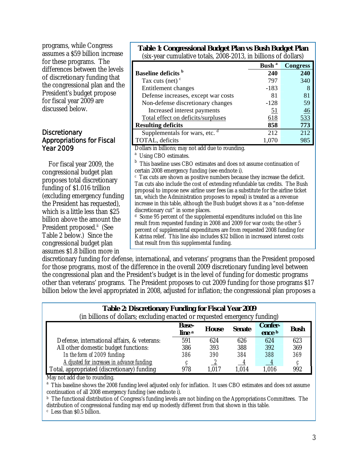programs, while Congress assumes a \$59 billion increase for these programs. The differences between the levels of discretionary funding that the congressional plan and the President's budget propose for fiscal year 2009 are discussed below.

### **Discretionary** Appropriations for Fiscal Year 2009

 For fiscal year 2009, the congressional budget plan proposes total discretionary funding of \$1.016 trillion (excluding emergency funding the President has requested), which is a little less than \$25 billion above the amount the President proposed.<sup>ii</sup> (See Table 2 below.) Since the congressional budget plan assumes \$1.8 billion more in

|                                                                                                                                                                                                                                                                                                                                                                                                                                                                                                                                                                                                                                                                                                                                                               | Bush <sup>a</sup> | <b>Congress</b> |
|---------------------------------------------------------------------------------------------------------------------------------------------------------------------------------------------------------------------------------------------------------------------------------------------------------------------------------------------------------------------------------------------------------------------------------------------------------------------------------------------------------------------------------------------------------------------------------------------------------------------------------------------------------------------------------------------------------------------------------------------------------------|-------------------|-----------------|
| <b>Baseline deficits</b> b                                                                                                                                                                                                                                                                                                                                                                                                                                                                                                                                                                                                                                                                                                                                    | 240               | 240             |
| Tax cuts (net) $\degree$                                                                                                                                                                                                                                                                                                                                                                                                                                                                                                                                                                                                                                                                                                                                      | 797               | 340             |
| Entitlement changes                                                                                                                                                                                                                                                                                                                                                                                                                                                                                                                                                                                                                                                                                                                                           | $-183$            | 8               |
| Defense increases, except war costs                                                                                                                                                                                                                                                                                                                                                                                                                                                                                                                                                                                                                                                                                                                           | 81                | 81              |
| Non-defense discretionary changes                                                                                                                                                                                                                                                                                                                                                                                                                                                                                                                                                                                                                                                                                                                             | $-128$            | 59              |
| Increased interest payments                                                                                                                                                                                                                                                                                                                                                                                                                                                                                                                                                                                                                                                                                                                                   | 51                | 46              |
| Total effect on deficits/surpluses                                                                                                                                                                                                                                                                                                                                                                                                                                                                                                                                                                                                                                                                                                                            | 618               | 533             |
| <b>Resulting deficits</b>                                                                                                                                                                                                                                                                                                                                                                                                                                                                                                                                                                                                                                                                                                                                     | 858               | 773             |
| Supplementals for wars, etc.                                                                                                                                                                                                                                                                                                                                                                                                                                                                                                                                                                                                                                                                                                                                  | 212               | 212             |
| TOTAL, deficits                                                                                                                                                                                                                                                                                                                                                                                                                                                                                                                                                                                                                                                                                                                                               | 1,070             | 985             |
| Dollars in billions; may not add due to rounding.                                                                                                                                                                                                                                                                                                                                                                                                                                                                                                                                                                                                                                                                                                             |                   |                 |
| Using CBO estimates.                                                                                                                                                                                                                                                                                                                                                                                                                                                                                                                                                                                                                                                                                                                                          |                   |                 |
|                                                                                                                                                                                                                                                                                                                                                                                                                                                                                                                                                                                                                                                                                                                                                               |                   |                 |
| This baseline uses CBO estimates and does not assume continuation of                                                                                                                                                                                                                                                                                                                                                                                                                                                                                                                                                                                                                                                                                          |                   |                 |
|                                                                                                                                                                                                                                                                                                                                                                                                                                                                                                                                                                                                                                                                                                                                                               |                   |                 |
|                                                                                                                                                                                                                                                                                                                                                                                                                                                                                                                                                                                                                                                                                                                                                               |                   |                 |
|                                                                                                                                                                                                                                                                                                                                                                                                                                                                                                                                                                                                                                                                                                                                                               |                   |                 |
|                                                                                                                                                                                                                                                                                                                                                                                                                                                                                                                                                                                                                                                                                                                                                               |                   |                 |
|                                                                                                                                                                                                                                                                                                                                                                                                                                                                                                                                                                                                                                                                                                                                                               |                   |                 |
|                                                                                                                                                                                                                                                                                                                                                                                                                                                                                                                                                                                                                                                                                                                                                               |                   |                 |
|                                                                                                                                                                                                                                                                                                                                                                                                                                                                                                                                                                                                                                                                                                                                                               |                   |                 |
|                                                                                                                                                                                                                                                                                                                                                                                                                                                                                                                                                                                                                                                                                                                                                               |                   |                 |
| certain 2008 emergency funding (see endnote i).<br>$\epsilon$ Tax cuts are shown as positive numbers because they increase the deficit.<br>Tax cuts also include the cost of extending refundable tax credits. The Bush<br>proposal to impose new airline user fees (as a substitute for the airline ticket<br>tax, which the Administration proposes to repeal) is treated as a revenue<br>increase in this table, although the Bush budget shows it as a "non-defense<br>discretionary cut" in some places.<br><sup>d</sup> Some 95 percent of the supplemental expenditures included on this line<br>result from requested funding in 2008 and 2009 for war costs; the other 5<br>percent of supplemental expenditures are from requested 2008 funding for |                   |                 |

**Table 1: Congressional Budget Plan vs Bush Budget Plan** 

that result from this supplemental funding.

discretionary funding for defense, international, and veterans' programs than the President proposed for those programs, most of the difference in the overall 2009 discretionary funding level between the congressional plan and the President's budget is in the level of funding for domestic programs other than veterans' programs. The President proposes to cut 2009 funding for those programs \$17 billion below the level appropriated in 2008, adjusted for inflation; the congressional plan proposes a

| $1.000$ at $1.000$ and $1.000$ and $1.000$ and $1.000$<br>(in billions of dollars; excluding enacted or requested emergency funding) |                                   |              |               |                          |             |  |
|--------------------------------------------------------------------------------------------------------------------------------------|-----------------------------------|--------------|---------------|--------------------------|-------------|--|
|                                                                                                                                      | <b>Base-</b><br>line <sup>a</sup> | <b>House</b> | <b>Senate</b> | <b>Confer-</b><br>ence b | <b>Bush</b> |  |
| Defense, international affairs, & veterans:                                                                                          | 591                               | 624          | 626           | 624                      | 623         |  |
| All other domestic budget functions:                                                                                                 | 386                               | 393          | 388           | 392                      | 369         |  |
| In the form of 2009 funding:                                                                                                         | 386                               | 390          | 384           | 388                      | 369         |  |
| Adjusted for increases in advance funding:                                                                                           |                                   |              |               | $\overline{\phantom{0}}$ |             |  |
| Total, appropriated (discretionary) funding                                                                                          | 978                               | 1.017        | 1,014         | 1,016                    | 992         |  |

## **Table 2: Discretionary Funding for Fiscal Year 2009**

May not add due to rounding.

<sup>a</sup> This baseline shows the 2008 funding level adjusted only for inflation. It uses CBO estimates and does *not* assume continuation of all 2008 emergency funding (see endnote i).

**b** The functional distribution of Congress's funding levels are not binding on the Appropriations Committees. The distribution of congressional funding may end up modestly different from that shown in this table.  $\frac{c}{c}$  Less than \$0.5 billion.